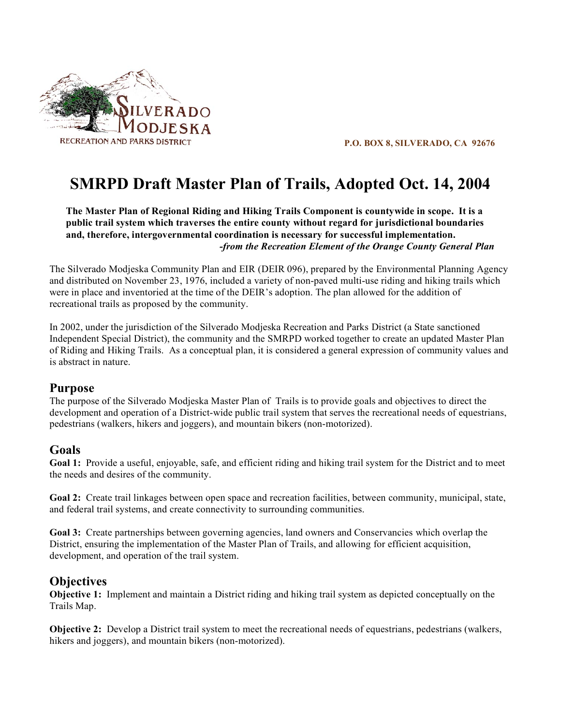

**P.O. BOX 8, SILVERADO, CA 92676**

# **SMRPD Draft Master Plan of Trails, Adopted Oct. 14, 2004**

**The Master Plan of Regional Riding and Hiking Trails Component is countywide in scope. It is a public trail system which traverses the entire county without regard for jurisdictional boundaries and, therefore, intergovernmental coordination is necessary for successful implementation.** *-from the Recreation Element of the Orange County General Plan*

The Silverado Modjeska Community Plan and EIR (DEIR 096), prepared by the Environmental Planning Agency and distributed on November 23, 1976, included a variety of non-paved multi-use riding and hiking trails which were in place and inventoried at the time of the DEIR's adoption. The plan allowed for the addition of recreational trails as proposed by the community.

In 2002, under the jurisdiction of the Silverado Modjeska Recreation and Parks District (a State sanctioned Independent Special District), the community and the SMRPD worked together to create an updated Master Plan of Riding and Hiking Trails. As a conceptual plan, it is considered a general expression of community values and is abstract in nature.

## **Purpose**

The purpose of the Silverado Modjeska Master Plan of Trails is to provide goals and objectives to direct the development and operation of a District-wide public trail system that serves the recreational needs of equestrians, pedestrians (walkers, hikers and joggers), and mountain bikers (non-motorized).

# **Goals**

**Goal 1:** Provide a useful, enjoyable, safe, and efficient riding and hiking trail system for the District and to meet the needs and desires of the community.

**Goal 2:** Create trail linkages between open space and recreation facilities, between community, municipal, state, and federal trail systems, and create connectivity to surrounding communities.

**Goal 3:** Create partnerships between governing agencies, land owners and Conservancies which overlap the District, ensuring the implementation of the Master Plan of Trails, and allowing for efficient acquisition, development, and operation of the trail system.

## **Objectives**

**Objective 1:** Implement and maintain a District riding and hiking trail system as depicted conceptually on the Trails Map.

**Objective 2:** Develop a District trail system to meet the recreational needs of equestrians, pedestrians (walkers, hikers and joggers), and mountain bikers (non-motorized).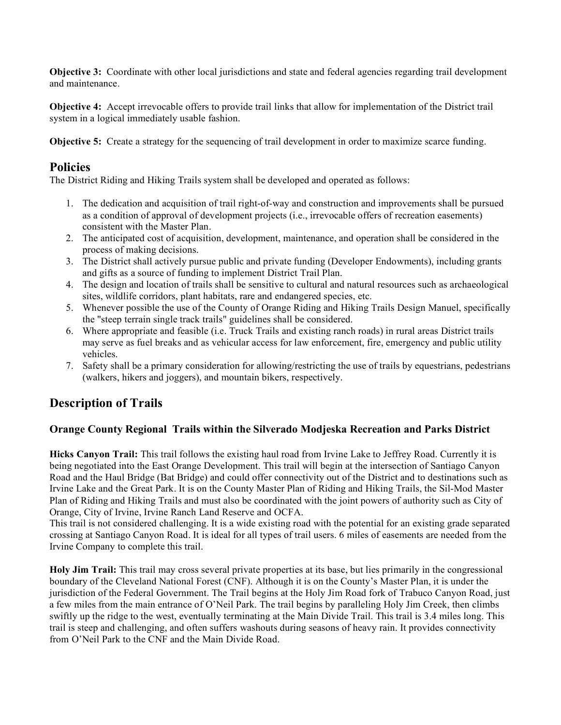**Objective 3:** Coordinate with other local jurisdictions and state and federal agencies regarding trail development and maintenance.

**Objective 4:** Accept irrevocable offers to provide trail links that allow for implementation of the District trail system in a logical immediately usable fashion.

**Objective 5:** Create a strategy for the sequencing of trail development in order to maximize scarce funding.

## **Policies**

The District Riding and Hiking Trails system shall be developed and operated as follows:

- 1. The dedication and acquisition of trail right-of-way and construction and improvements shall be pursued as a condition of approval of development projects (i.e., irrevocable offers of recreation easements) consistent with the Master Plan.
- 2. The anticipated cost of acquisition, development, maintenance, and operation shall be considered in the process of making decisions.
- 3. The District shall actively pursue public and private funding (Developer Endowments), including grants and gifts as a source of funding to implement District Trail Plan.
- 4. The design and location of trails shall be sensitive to cultural and natural resources such as archaeological sites, wildlife corridors, plant habitats, rare and endangered species, etc.
- 5. Whenever possible the use of the County of Orange Riding and Hiking Trails Design Manuel, specifically the "steep terrain single track trails" guidelines shall be considered.
- 6. Where appropriate and feasible (i.e. Truck Trails and existing ranch roads) in rural areas District trails may serve as fuel breaks and as vehicular access for law enforcement, fire, emergency and public utility vehicles.
- 7. Safety shall be a primary consideration for allowing/restricting the use of trails by equestrians, pedestrians (walkers, hikers and joggers), and mountain bikers, respectively.

# **Description of Trails**

## **Orange County Regional Trails within the Silverado Modjeska Recreation and Parks District**

**Hicks Canyon Trail:** This trail follows the existing haul road from Irvine Lake to Jeffrey Road. Currently it is being negotiated into the East Orange Development. This trail will begin at the intersection of Santiago Canyon Road and the Haul Bridge (Bat Bridge) and could offer connectivity out of the District and to destinations such as Irvine Lake and the Great Park. It is on the County Master Plan of Riding and Hiking Trails, the Sil-Mod Master Plan of Riding and Hiking Trails and must also be coordinated with the joint powers of authority such as City of Orange, City of Irvine, Irvine Ranch Land Reserve and OCFA.

This trail is not considered challenging. It is a wide existing road with the potential for an existing grade separated crossing at Santiago Canyon Road. It is ideal for all types of trail users. 6 miles of easements are needed from the Irvine Company to complete this trail.

**Holy Jim Trail:** This trail may cross several private properties at its base, but lies primarily in the congressional boundary of the Cleveland National Forest (CNF). Although it is on the County's Master Plan, it is under the jurisdiction of the Federal Government. The Trail begins at the Holy Jim Road fork of Trabuco Canyon Road, just a few miles from the main entrance of O'Neil Park. The trail begins by paralleling Holy Jim Creek, then climbs swiftly up the ridge to the west, eventually terminating at the Main Divide Trail. This trail is 3.4 miles long. This trail is steep and challenging, and often suffers washouts during seasons of heavy rain. It provides connectivity from O'Neil Park to the CNF and the Main Divide Road.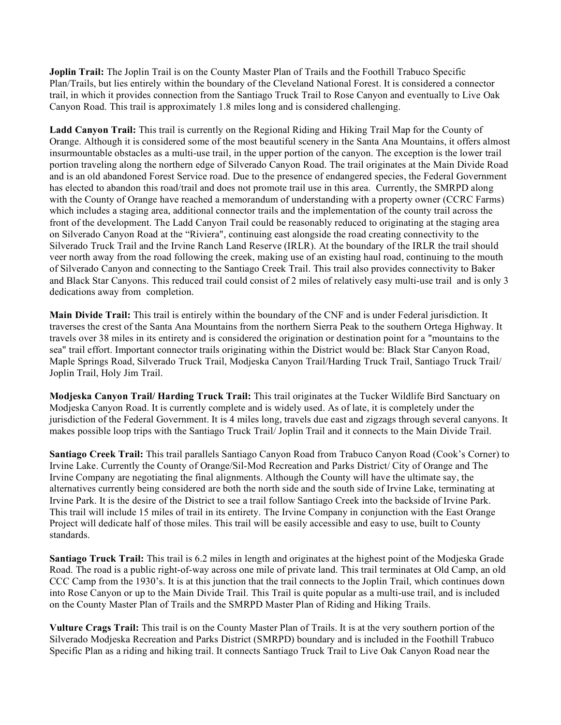**Joplin Trail:** The Joplin Trail is on the County Master Plan of Trails and the Foothill Trabuco Specific Plan/Trails, but lies entirely within the boundary of the Cleveland National Forest. It is considered a connector trail, in which it provides connection from the Santiago Truck Trail to Rose Canyon and eventually to Live Oak Canyon Road. This trail is approximately 1.8 miles long and is considered challenging.

**Ladd Canyon Trail:** This trail is currently on the Regional Riding and Hiking Trail Map for the County of Orange. Although it is considered some of the most beautiful scenery in the Santa Ana Mountains, it offers almost insurmountable obstacles as a multi-use trail, in the upper portion of the canyon. The exception is the lower trail portion traveling along the northern edge of Silverado Canyon Road. The trail originates at the Main Divide Road and is an old abandoned Forest Service road. Due to the presence of endangered species, the Federal Government has elected to abandon this road/trail and does not promote trail use in this area. Currently, the SMRPD along with the County of Orange have reached a memorandum of understanding with a property owner (CCRC Farms) which includes a staging area, additional connector trails and the implementation of the county trail across the front of the development. The Ladd Canyon Trail could be reasonably reduced to originating at the staging area on Silverado Canyon Road at the "Riviera", continuing east alongside the road creating connectivity to the Silverado Truck Trail and the Irvine Ranch Land Reserve (IRLR). At the boundary of the IRLR the trail should veer north away from the road following the creek, making use of an existing haul road, continuing to the mouth of Silverado Canyon and connecting to the Santiago Creek Trail. This trail also provides connectivity to Baker and Black Star Canyons. This reduced trail could consist of 2 miles of relatively easy multi-use trail and is only 3 dedications away from completion.

**Main Divide Trail:** This trail is entirely within the boundary of the CNF and is under Federal jurisdiction. It traverses the crest of the Santa Ana Mountains from the northern Sierra Peak to the southern Ortega Highway. It travels over 38 miles in its entirety and is considered the origination or destination point for a "mountains to the sea" trail effort. Important connector trails originating within the District would be: Black Star Canyon Road, Maple Springs Road, Silverado Truck Trail, Modjeska Canyon Trail/Harding Truck Trail, Santiago Truck Trail/ Joplin Trail, Holy Jim Trail.

**Modjeska Canyon Trail/ Harding Truck Trail:** This trail originates at the Tucker Wildlife Bird Sanctuary on Modjeska Canyon Road. It is currently complete and is widely used. As of late, it is completely under the jurisdiction of the Federal Government. It is 4 miles long, travels due east and zigzags through several canyons. It makes possible loop trips with the Santiago Truck Trail/ Joplin Trail and it connects to the Main Divide Trail.

**Santiago Creek Trail:** This trail parallels Santiago Canyon Road from Trabuco Canyon Road (Cook's Corner) to Irvine Lake. Currently the County of Orange/Sil-Mod Recreation and Parks District/ City of Orange and The Irvine Company are negotiating the final alignments. Although the County will have the ultimate say, the alternatives currently being considered are both the north side and the south side of Irvine Lake, terminating at Irvine Park. It is the desire of the District to see a trail follow Santiago Creek into the backside of Irvine Park. This trail will include 15 miles of trail in its entirety. The Irvine Company in conjunction with the East Orange Project will dedicate half of those miles. This trail will be easily accessible and easy to use, built to County standards.

**Santiago Truck Trail:** This trail is 6.2 miles in length and originates at the highest point of the Modjeska Grade Road. The road is a public right-of-way across one mile of private land. This trail terminates at Old Camp, an old CCC Camp from the 1930's. It is at this junction that the trail connects to the Joplin Trail, which continues down into Rose Canyon or up to the Main Divide Trail. This Trail is quite popular as a multi-use trail, and is included on the County Master Plan of Trails and the SMRPD Master Plan of Riding and Hiking Trails.

**Vulture Crags Trail:** This trail is on the County Master Plan of Trails. It is at the very southern portion of the Silverado Modjeska Recreation and Parks District (SMRPD) boundary and is included in the Foothill Trabuco Specific Plan as a riding and hiking trail. It connects Santiago Truck Trail to Live Oak Canyon Road near the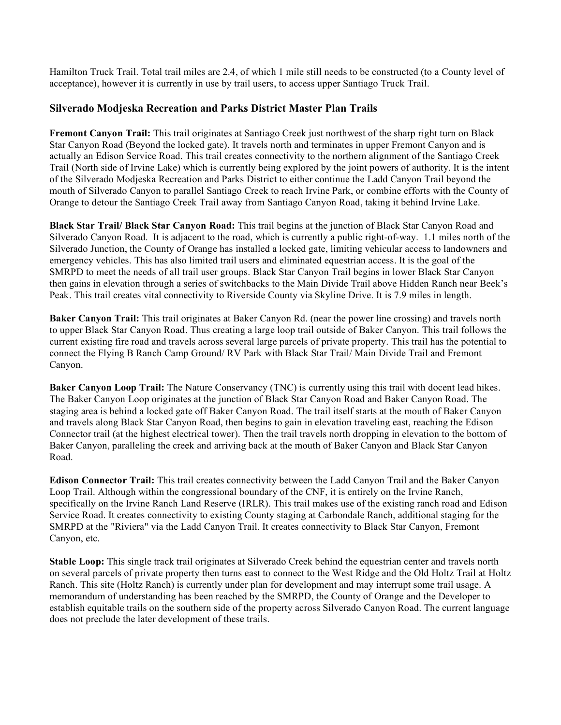Hamilton Truck Trail. Total trail miles are 2.4, of which 1 mile still needs to be constructed (to a County level of acceptance), however it is currently in use by trail users, to access upper Santiago Truck Trail.

#### **Silverado Modjeska Recreation and Parks District Master Plan Trails**

**Fremont Canyon Trail:** This trail originates at Santiago Creek just northwest of the sharp right turn on Black Star Canyon Road (Beyond the locked gate). It travels north and terminates in upper Fremont Canyon and is actually an Edison Service Road. This trail creates connectivity to the northern alignment of the Santiago Creek Trail (North side of Irvine Lake) which is currently being explored by the joint powers of authority. It is the intent of the Silverado Modjeska Recreation and Parks District to either continue the Ladd Canyon Trail beyond the mouth of Silverado Canyon to parallel Santiago Creek to reach Irvine Park, or combine efforts with the County of Orange to detour the Santiago Creek Trail away from Santiago Canyon Road, taking it behind Irvine Lake.

**Black Star Trail/ Black Star Canyon Road:** This trail begins at the junction of Black Star Canyon Road and Silverado Canyon Road. It is adjacent to the road, which is currently a public right-of-way. 1.1 miles north of the Silverado Junction, the County of Orange has installed a locked gate, limiting vehicular access to landowners and emergency vehicles. This has also limited trail users and eliminated equestrian access. It is the goal of the SMRPD to meet the needs of all trail user groups. Black Star Canyon Trail begins in lower Black Star Canyon then gains in elevation through a series of switchbacks to the Main Divide Trail above Hidden Ranch near Beek's Peak. This trail creates vital connectivity to Riverside County via Skyline Drive. It is 7.9 miles in length.

**Baker Canyon Trail:** This trail originates at Baker Canyon Rd. (near the power line crossing) and travels north to upper Black Star Canyon Road. Thus creating a large loop trail outside of Baker Canyon. This trail follows the current existing fire road and travels across several large parcels of private property. This trail has the potential to connect the Flying B Ranch Camp Ground/ RV Park with Black Star Trail/ Main Divide Trail and Fremont Canyon.

**Baker Canyon Loop Trail:** The Nature Conservancy (TNC) is currently using this trail with docent lead hikes. The Baker Canyon Loop originates at the junction of Black Star Canyon Road and Baker Canyon Road. The staging area is behind a locked gate off Baker Canyon Road. The trail itself starts at the mouth of Baker Canyon and travels along Black Star Canyon Road, then begins to gain in elevation traveling east, reaching the Edison Connector trail (at the highest electrical tower). Then the trail travels north dropping in elevation to the bottom of Baker Canyon, paralleling the creek and arriving back at the mouth of Baker Canyon and Black Star Canyon Road.

**Edison Connector Trail:** This trail creates connectivity between the Ladd Canyon Trail and the Baker Canyon Loop Trail. Although within the congressional boundary of the CNF, it is entirely on the Irvine Ranch, specifically on the Irvine Ranch Land Reserve (IRLR). This trail makes use of the existing ranch road and Edison Service Road. It creates connectivity to existing County staging at Carbondale Ranch, additional staging for the SMRPD at the "Riviera" via the Ladd Canyon Trail. It creates connectivity to Black Star Canyon, Fremont Canyon, etc.

**Stable Loop:** This single track trail originates at Silverado Creek behind the equestrian center and travels north on several parcels of private property then turns east to connect to the West Ridge and the Old Holtz Trail at Holtz Ranch. This site (Holtz Ranch) is currently under plan for development and may interrupt some trail usage. A memorandum of understanding has been reached by the SMRPD, the County of Orange and the Developer to establish equitable trails on the southern side of the property across Silverado Canyon Road. The current language does not preclude the later development of these trails.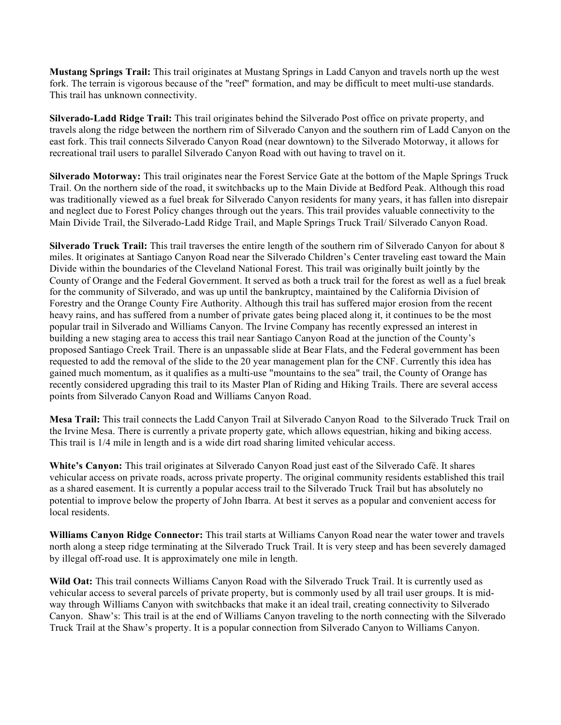**Mustang Springs Trail:** This trail originates at Mustang Springs in Ladd Canyon and travels north up the west fork. The terrain is vigorous because of the "reef" formation, and may be difficult to meet multi-use standards. This trail has unknown connectivity.

**Silverado-Ladd Ridge Trail:** This trail originates behind the Silverado Post office on private property, and travels along the ridge between the northern rim of Silverado Canyon and the southern rim of Ladd Canyon on the east fork. This trail connects Silverado Canyon Road (near downtown) to the Silverado Motorway, it allows for recreational trail users to parallel Silverado Canyon Road with out having to travel on it.

**Silverado Motorway:** This trail originates near the Forest Service Gate at the bottom of the Maple Springs Truck Trail. On the northern side of the road, it switchbacks up to the Main Divide at Bedford Peak. Although this road was traditionally viewed as a fuel break for Silverado Canyon residents for many years, it has fallen into disrepair and neglect due to Forest Policy changes through out the years. This trail provides valuable connectivity to the Main Divide Trail, the Silverado-Ladd Ridge Trail, and Maple Springs Truck Trail/ Silverado Canyon Road.

**Silverado Truck Trail:** This trail traverses the entire length of the southern rim of Silverado Canyon for about 8 miles. It originates at Santiago Canyon Road near the Silverado Children's Center traveling east toward the Main Divide within the boundaries of the Cleveland National Forest. This trail was originally built jointly by the County of Orange and the Federal Government. It served as both a truck trail for the forest as well as a fuel break for the community of Silverado, and was up until the bankruptcy, maintained by the California Division of Forestry and the Orange County Fire Authority. Although this trail has suffered major erosion from the recent heavy rains, and has suffered from a number of private gates being placed along it, it continues to be the most popular trail in Silverado and Williams Canyon. The Irvine Company has recently expressed an interest in building a new staging area to access this trail near Santiago Canyon Road at the junction of the County's proposed Santiago Creek Trail. There is an unpassable slide at Bear Flats, and the Federal government has been requested to add the removal of the slide to the 20 year management plan for the CNF. Currently this idea has gained much momentum, as it qualifies as a multi-use "mountains to the sea" trail, the County of Orange has recently considered upgrading this trail to its Master Plan of Riding and Hiking Trails. There are several access points from Silverado Canyon Road and Williams Canyon Road.

**Mesa Trail:** This trail connects the Ladd Canyon Trail at Silverado Canyon Road to the Silverado Truck Trail on the Irvine Mesa. There is currently a private property gate, which allows equestrian, hiking and biking access. This trail is 1/4 mile in length and is a wide dirt road sharing limited vehicular access.

**White's Canyon:** This trail originates at Silverado Canyon Road just east of the Silverado Café. It shares vehicular access on private roads, across private property. The original community residents established this trail as a shared easement. It is currently a popular access trail to the Silverado Truck Trail but has absolutely no potential to improve below the property of John Ibarra. At best it serves as a popular and convenient access for local residents.

**Williams Canyon Ridge Connector:** This trail starts at Williams Canyon Road near the water tower and travels north along a steep ridge terminating at the Silverado Truck Trail. It is very steep and has been severely damaged by illegal off-road use. It is approximately one mile in length.

**Wild Oat:** This trail connects Williams Canyon Road with the Silverado Truck Trail. It is currently used as vehicular access to several parcels of private property, but is commonly used by all trail user groups. It is midway through Williams Canyon with switchbacks that make it an ideal trail, creating connectivity to Silverado Canyon. Shaw's: This trail is at the end of Williams Canyon traveling to the north connecting with the Silverado Truck Trail at the Shaw's property. It is a popular connection from Silverado Canyon to Williams Canyon.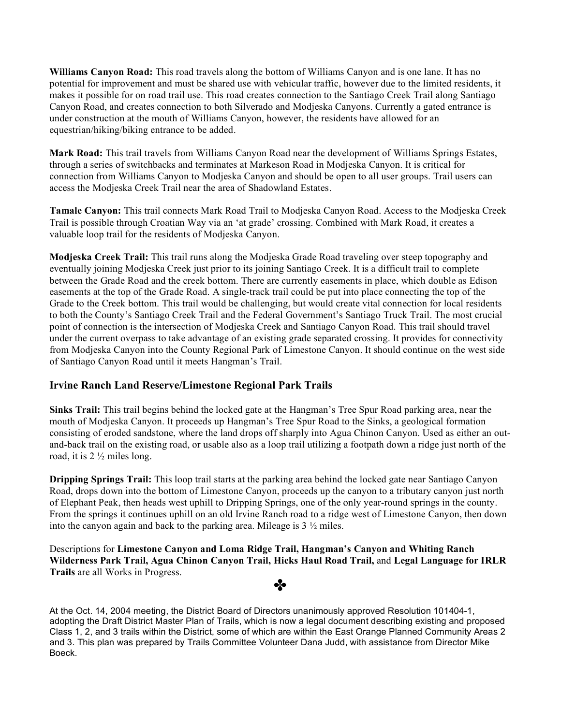**Williams Canyon Road:** This road travels along the bottom of Williams Canyon and is one lane. It has no potential for improvement and must be shared use with vehicular traffic, however due to the limited residents, it makes it possible for on road trail use. This road creates connection to the Santiago Creek Trail along Santiago Canyon Road, and creates connection to both Silverado and Modjeska Canyons. Currently a gated entrance is under construction at the mouth of Williams Canyon, however, the residents have allowed for an equestrian/hiking/biking entrance to be added.

**Mark Road:** This trail travels from Williams Canyon Road near the development of Williams Springs Estates, through a series of switchbacks and terminates at Markeson Road in Modjeska Canyon. It is critical for connection from Williams Canyon to Modjeska Canyon and should be open to all user groups. Trail users can access the Modjeska Creek Trail near the area of Shadowland Estates.

**Tamale Canyon:** This trail connects Mark Road Trail to Modjeska Canyon Road. Access to the Modjeska Creek Trail is possible through Croatian Way via an 'at grade' crossing. Combined with Mark Road, it creates a valuable loop trail for the residents of Modjeska Canyon.

**Modjeska Creek Trail:** This trail runs along the Modjeska Grade Road traveling over steep topography and eventually joining Modjeska Creek just prior to its joining Santiago Creek. It is a difficult trail to complete between the Grade Road and the creek bottom. There are currently easements in place, which double as Edison easements at the top of the Grade Road. A single-track trail could be put into place connecting the top of the Grade to the Creek bottom. This trail would be challenging, but would create vital connection for local residents to both the County's Santiago Creek Trail and the Federal Government's Santiago Truck Trail. The most crucial point of connection is the intersection of Modjeska Creek and Santiago Canyon Road. This trail should travel under the current overpass to take advantage of an existing grade separated crossing. It provides for connectivity from Modjeska Canyon into the County Regional Park of Limestone Canyon. It should continue on the west side of Santiago Canyon Road until it meets Hangman's Trail.

#### **Irvine Ranch Land Reserve/Limestone Regional Park Trails**

**Sinks Trail:** This trail begins behind the locked gate at the Hangman's Tree Spur Road parking area, near the mouth of Modjeska Canyon. It proceeds up Hangman's Tree Spur Road to the Sinks, a geological formation consisting of eroded sandstone, where the land drops off sharply into Agua Chinon Canyon. Used as either an outand-back trail on the existing road, or usable also as a loop trail utilizing a footpath down a ridge just north of the road, it is 2 ½ miles long.

**Dripping Springs Trail:** This loop trail starts at the parking area behind the locked gate near Santiago Canyon Road, drops down into the bottom of Limestone Canyon, proceeds up the canyon to a tributary canyon just north of Elephant Peak, then heads west uphill to Dripping Springs, one of the only year-round springs in the county. From the springs it continues uphill on an old Irvine Ranch road to a ridge west of Limestone Canyon, then down into the canyon again and back to the parking area. Mileage is 3 ½ miles.

Descriptions for **Limestone Canyon and Loma Ridge Trail, Hangman's Canyon and Whiting Ranch Wilderness Park Trail, Agua Chinon Canyon Trail, Hicks Haul Road Trail,** and **Legal Language for IRLR Trails** are all Works in Progress.

✤

At the Oct. 14, 2004 meeting, the District Board of Directors unanimously approved Resolution 101404-1, adopting the Draft District Master Plan of Trails, which is now a legal document describing existing and proposed Class 1, 2, and 3 trails within the District, some of which are within the East Orange Planned Community Areas 2 and 3. This plan was prepared by Trails Committee Volunteer Dana Judd, with assistance from Director Mike Boeck.